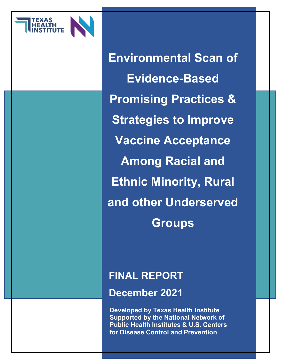

**Environmental Scan of Evidence-Based Promising Practices & Strategies to Improve Vaccine Acceptance Among Racial and Ethnic Minority, Rural and other Underserved Groups**

### **FINAL REPORT**

**December 2021** 

**Developed by Texas Health Institute Supported by the National Network of Public Health Institutes & U.S. Centers for Disease Control and Prevention**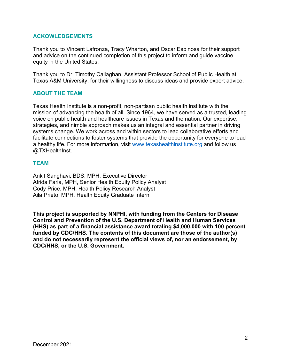#### **ACKOWLEDGEMENTS**

Thank you to Vincent Lafronza, Tracy Wharton, and Oscar Espinosa for their support and advice on the continued completion of this project to inform and guide vaccine equity in the United States.

Thank you to Dr. Timothy Callaghan, Assistant Professor School of Public Health at Texas A&M University, for their willingness to discuss ideas and provide expert advice.

#### **ABOUT THE TEAM**

Texas Health Institute is a non-profit, non-partisan public health institute with the mission of advancing the health of all. Since 1964, we have served as a trusted, leading voice on public health and healthcare issues in Texas and the nation. Our expertise, strategies, and nimble approach makes us an integral and essential partner in driving systems change. We work across and within sectors to lead collaborative efforts and facilitate connections to foster systems that provide the opportunity for everyone to lead a healthy life. For more information, visit [www.texashealthinstitute.org](http://www.texashealthinstitute.org/) and follow us @TXHealthInst.

#### **TEAM**

Ankit Sanghavi, BDS, MPH, Executive Director Afrida Faria, MPH, Senior Health Equity Policy Analyst Cody Price, MPH, Health Policy Research Analyst Aila Prieto, MPH, Health Equity Graduate Intern

**This project is supported by NNPHI, with funding from the Centers for Disease Control and Prevention of the U.S. Department of Health and Human Services (HHS) as part of a financial assistance award totaling \$4,000,000 with 100 percent funded by CDC/HHS. The contents of this document are those of the author(s) and do not necessarily represent the official views of, nor an endorsement, by CDC/HHS, or the U.S. Government.**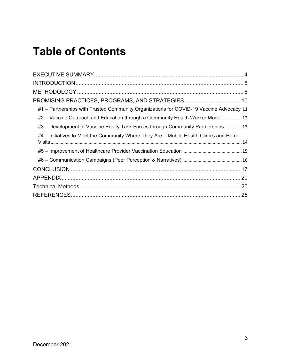## **Table of Contents**

| #1 - Partnerships with Trusted Community Organizations for COVID-19 Vaccine Advocacy 11 |  |
|-----------------------------------------------------------------------------------------|--|
| #2 – Vaccine Outreach and Education through a Community Health Worker Model 12          |  |
| #3 – Development of Vaccine Equity Task Forces through Community Partnerships 13        |  |
| #4 – Initiatives to Meet the Community Where They Are – Mobile Health Clinics and Home  |  |
|                                                                                         |  |
|                                                                                         |  |
|                                                                                         |  |
|                                                                                         |  |
|                                                                                         |  |
|                                                                                         |  |
|                                                                                         |  |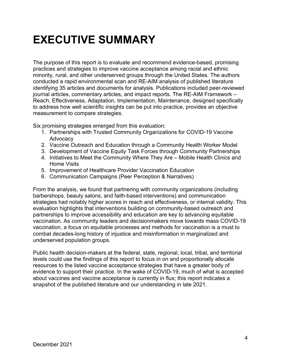## <span id="page-3-0"></span>**EXECUTIVE SUMMARY**

The purpose of this report is to evaluate and recommend evidence-based, promising practices and strategies to improve vaccine acceptance among racial and ethnic minority, rural, and other underserved groups through the United States. The authors conducted a rapid environmental scan and RE-AIM analysis of published literature identifying 35 articles and documents for analysis. Publications included peer-reviewed journal articles, commentary articles, and impact reports. The RE-AIM Framework – Reach, Effectiveness, Adaptation, Implementation, Maintenance, designed specifically to address how well scientific insights can be put into practice, provides an objective measurement to compare strategies.

Six promising strategies emerged from this evaluation:

- 1. Partnerships with Trusted Community Organizations for COVID-19 Vaccine Advocacy
- 2. Vaccine Outreach and Education through a Community Health Worker Model
- 3. Development of Vaccine Equity Task Forces through Community Partnerships
- 4. Initiatives to Meet the Community Where They Are Mobile Health Clinics and Home Visits
- 5. Improvement of Healthcare Provider Vaccination Education
- 6. Communication Campaigns (Peer Perception & Narratives)

From the analysis, we found that partnering with community organizations (including barbershops, beauty salons, and faith-based interventions) and communication strategies had notably higher scores in reach and effectiveness, or internal validity. This evaluation highlights that interventions building on community-based outreach and partnerships to improve accessibility and education are key to advancing equitable vaccination. As community leaders and decisionmakers move towards mass COVID-19 vaccination, a focus on equitable processes and methods for vaccination is a must to combat decades-long history of injustice and misinformation in marginalized and underserved population groups.

Public health decision-makers at the federal, state, regional, local, tribal, and territorial levels could use the findings of this report to focus in on and proportionally allocate resources to the listed vaccine acceptance strategies that have a greater body of evidence to support their practice. In the wake of COVID-19, much of what is accepted about vaccines and vaccine acceptance is currently in flux; this report indicates a snapshot of the published literature and our understanding in late 2021.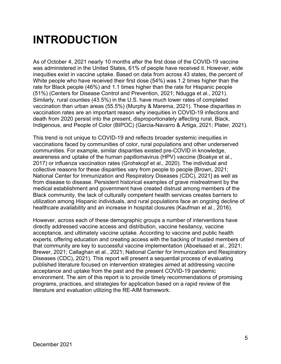## <span id="page-4-0"></span>**INTRODUCTION**

As of October 4, 2021 nearly 10 months after the first dose of the COVID-19 vaccine was administered in the United States, 61% of people have received it. However, wide inequities exist in vaccine uptake. Based on data from across 43 states, the percent of White people who have received their first dose (54%) was 1.2 times higher than the rate for Black people (46%) and 1.1 times higher than the rate for Hispanic people (51%) (Centers for Disease Control and Prevention, 2021; Ndugga et al., 2021). Similarly, rural counties (43.5%) in the U.S. have much lower rates of completed vaccination than urban areas (55.5%) (Murphy & Marema, 2021). These disparities in vaccination rates are an important reason why inequities in COVID-19 infections and death from 2020 persist into the present, disproportionately affecting rural, Black, Indigenous, and People of Color (BIPOC) (Garcia-Navarro & Artiga, 2021; Plater, 2021).

This trend is not unique to COVID-19 and reflects broader systemic inequities in vaccinations faced by communities of color, rural populations and other underserved communities. For example, similar disparities existed pre-COVID in knowledge, awareness and uptake of the human papillomavirus (HPV) vaccine (Boakye et al., 2017) or influenza vaccination rates (Grohskopf et al., 2020). The individual and collective reasons for these disparities vary from people to people [Brown, 2021; National Center for Immunization and Respiratory Diseases (CDC), 2021] as well as from disease to disease. Persistent historical examples of grave mistreatment by the medical establishment and government have created distrust among members of the Black community, the lack of culturally competent health services creates barriers to utilization among Hispanic individuals, and rural populations face an ongoing decline of healthcare availability and an increase in hospital closures (Kaufman et al., 2016).

However, across each of these demographic groups a number of interventions have directly addressed vaccine access and distribution, vaccine hesitancy, vaccine acceptance, and ultimately vaccine uptake. According to vaccine and public health experts, offering education and creating access with the backing of trusted members of that community are key to successful vaccine implementation (Aboelsaad et al., 2021; Brewer, 2021; Callaghan et al., 2021; National Center for Immunization and Respiratory Diseases (CDC), 2021). This report will present a sequential process of evaluating published literature focused on intervention strategies aimed at addressing vaccine acceptance and uptake from the past and the present COVID-19 pandemic environment. The aim of this report is to provide timely recommendations of promising programs, practices, and strategies for application based on a rapid review of the literature and evaluation utilizing the RE-AIM framework.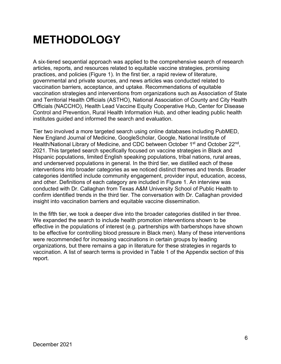## <span id="page-5-0"></span>**METHODOLOGY**

A six-tiered sequential approach was applied to the comprehensive search of research articles, reports, and resources related to equitable vaccine strategies, promising practices, and policies (Figure 1). In the first tier, a rapid review of literature, governmental and private sources, and news articles was conducted related to vaccination barriers, acceptance, and uptake. Recommendations of equitable vaccination strategies and interventions from organizations such as Association of State and Territorial Health Officials (ASTHO), National Association of County and City Health Officials (NACCHO), Health Lead Vaccine Equity Cooperative Hub, Center for Disease Control and Prevention, Rural Health Information Hub, and other leading public health institutes guided and informed the search and evaluation.

Tier two involved a more targeted search using online databases including PubMED, New England Journal of Medicine, GoogleScholar, Google, National Institute of Health/National Library of Medicine, and CDC between October 1<sup>st</sup> and October 22<sup>nd</sup>, 2021. This targeted search specifically focused on vaccine strategies in Black and Hispanic populations, limited English speaking populations, tribal nations, rural areas, and underserved populations in general. In the third tier, we distilled each of these interventions into broader categories as we noticed distinct themes and trends. Broader categories identified include community engagement, provider input, education, access, and other. Definitions of each category are included in Figure 1. An interview was conducted with Dr. Callaghan from Texas A&M University School of Public Health to confirm identified trends in the third tier. The conversation with Dr. Callaghan provided insight into vaccination barriers and equitable vaccine dissemination.

In the fifth tier, we took a deeper dive into the broader categories distilled in tier three. We expanded the search to include health promotion interventions shown to be effective in the populations of interest (e.g. partnerships with barbershops have shown to be effective for controlling blood pressure in Black men). Many of these interventions were recommended for increasing vaccinations in certain groups by leading organizations, but there remains a gap in literature for these strategies in regards to vaccination. A list of search terms is provided in Table 1 of the Appendix section of this report.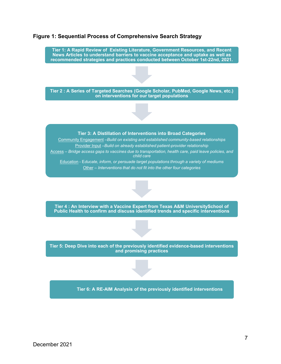

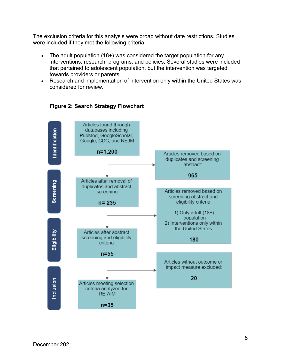The exclusion criteria for this analysis were broad without date restrictions. Studies were included if they met the following criteria:

- The adult population (18+) was considered the target population for any interventions, research, programs, and policies. Several studies were included that pertained to adolescent population, but the intervention was targeted towards providers or parents.
- Research and implementation of intervention only within the United States was considered for review.



#### **Figure 2: Search Strategy Flowchart**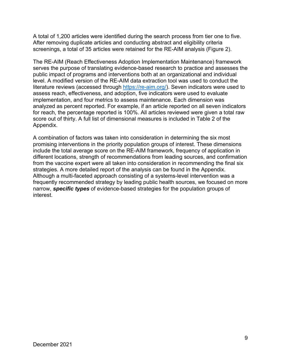A total of 1,200 articles were identified during the search process from tier one to five. After removing duplicate articles and conducting abstract and eligibility criteria screenings, a total of 35 articles were retained for the RE-AIM analysis (Figure 2).

The RE-AIM (Reach Effectiveness Adoption Implementation Maintenance) framework serves the purpose of translating evidence-based research to practice and assesses the public impact of programs and interventions both at an organizational and individual level. A modified version of the RE-AIM data extraction tool was used to conduct the literature reviews (accessed through [https://re-aim.org/\)](https://re-aim.org/). Seven indicators were used to assess reach, effectiveness, and adoption, five indicators were used to evaluate implementation, and four metrics to assess maintenance. Each dimension was analyzed as percent reported. For example, if an article reported on all seven indicators for reach, the percentage reported is 100%. All articles reviewed were given a total raw score out of thirty. A full list of dimensional measures is included in Table 2 of the Appendix.

A combination of factors was taken into consideration in determining the six most promising interventions in the priority population groups of interest. These dimensions include the total average score on the RE-AIM framework, frequency of application in different locations, strength of recommendations from leading sources, and confirmation from the vaccine expert were all taken into consideration in recommending the final six strategies. A more detailed report of the analysis can be found in the Appendix. Although a multi-faceted approach consisting of a systems-level intervention was a frequently recommended strategy by leading public health sources, we focused on more narrow, *specific types* of evidence-based strategies for the population groups of interest.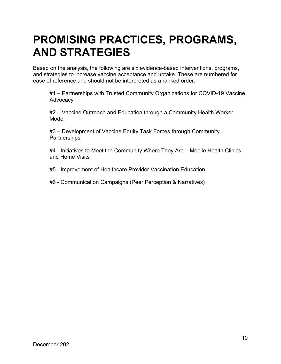## <span id="page-9-0"></span>**PROMISING PRACTICES, PROGRAMS, AND STRATEGIES**

Based on the analysis, the following are six evidence-based interventions, programs, and strategies to increase vaccine acceptance and uptake. These are numbered for ease of reference and should not be interpreted as a ranked order.

#1 – Partnerships with Trusted Community Organizations for COVID-19 Vaccine Advocacy

#2 – Vaccine Outreach and Education through a Community Health Worker Model

#3 – Development of Vaccine Equity Task Forces through Community **Partnerships** 

#4 - Initiatives to Meet the Community Where They Are – Mobile Health Clinics and Home Visits

#5 - Improvement of Healthcare Provider Vaccination Education

#6 - Communication Campaigns (Peer Perception & Narratives)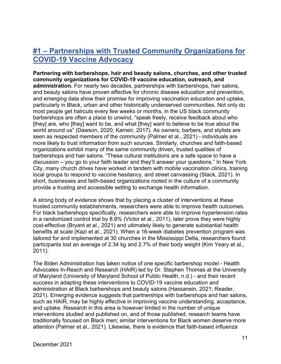### <span id="page-10-0"></span>**#1 – Partnerships with Trusted Community Organizations for COVID-19 Vaccine Advocacy**

**Partnering with barbershops, hair and beauty salons, churches, and other trusted community organizations for COVID-19 vaccine education, outreach, and administration.** For nearly two decades, partnerships with barbershops, hair salons, and beauty salons have proven effective for chronic disease education and prevention, and emerging data show their promise for improving vaccination education and uptake, particularly in Black, urban and other historically underserved communities. Not only do most people get haircuts every few weeks or months, in the US black community barbershops are often a place to unwind, "speak freely, receive feedback about who [they] are, who [they] want to be, and what [they] want to believe to be true about the world around us" (Dawson, 2020; Kameir, 2017). As owners, barbers, and stylists are seen as respected members of the community (Palmer et al., 2021) - individuals are more likely to trust information from such sources. Similarly, churches and faith-based organizations exhibit many of the same community driven, trusted qualities of barbershops and hair salons. "These cultural institutions are a safe space to have a discussion – you go to your faith leader and they'll answer your questions." In New York City, many church drives have worked in tandem with mobile vaccination clinics, training local groups to respond to vaccine hesitancy, and street canvassing (Stack, 2021). In short, businesses and faith-based organizations rooted in the culture of a community provide a trusting and accessible setting to exchange health information.

A strong body of evidence shows that by placing a cluster of interventions at these trusted community establishments, researchers were able to improve health outcomes. For black barbershops specifically, researchers were able to improve hypertension rates in a randomized control trial by 8.8% (Victor et al., 2011), later prove they were highly cost-effective (Bryant et al., 2021) and ultimately likely to generate substantial health benefits at scale (Kazi et al., 2021). When a 16-week diabetes prevention program was tailored for and implemented at 30 churches in the Mississippi Delta, researchers found participants lost an average of 2.34 kg and 2.7% of their body weight (Kim Yeary et al., 2011).

The Biden Administration has taken notice of one specific barbershop model - Health Advocates In-Reach and Research (HAIR) led by Dr. Stephen Thomas at the University of Maryland (University of Maryland School of Public Health, n.d.) - and their recent success in adapting these interventions to COVID-19 vaccine education and administration at Black barbershops and beauty salons (Hassanein, 2021; Reader, 2021). Emerging evidence suggests that partnerships with barbershops and hair salons, such as HAIR, may be highly effective in improving vaccine understanding, acceptance, and uptake. Research in this area is however limited in the number of unique interventions studied and published on, and of those published, research teams have traditionally focused on Black men; similar interventions for Black women deserve more attention (Palmer et al., 2021). Likewise, there is evidence that faith-based influenza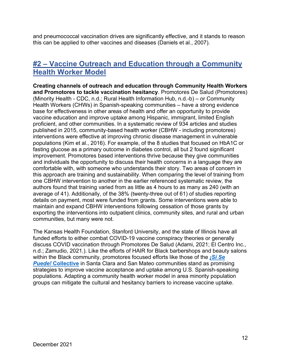and pneumococcal vaccination drives are significantly effective, and it stands to reason this can be applied to other vaccines and diseases (Daniels et al., 2007).

### <span id="page-11-0"></span>**#2 – Vaccine Outreach and Education through a Community Health Worker Model**

**Creating channels of outreach and education through Community Health Workers and Promotores to tackle vaccination hesitancy**. Promotores De Salud (Promotores) (Minority Health - CDC, n.d.; Rural Health Information Hub, n.d.-b) – or Community Health Workers (CHWs) in Spanish-speaking communities – have a strong evidence base for effectiveness in other areas of health and offer an opportunity to provide vaccine education and improve uptake among Hispanic, immigrant, limited English proficient, and other communities. In a systematic review of 934 articles and studies published in 2015, community-based health worker (CBHW - including promotores) interventions were effective at improving chronic disease management in vulnerable populations (Kim et al., 2016). For example, of the 8 studies that focused on HbA1C or fasting glucose as a primary outcome in diabetes control, all but 2 found significant improvement. Promotores based interventions thrive because they give communities and individuals the opportunity to discuss their health concerns in a language they are comfortable with, with someone who understands their story. Two areas of concern in this approach are training and sustainability. When comparing the level of training from one CBHW intervention to another in the earlier referenced systematic review, the authors found that training varied from as little as 4 hours to as many as 240 (with an average of 41). Additionally, of the 38% (twenty-three out of 61) of studies reporting details on payment, most were funded from grants. Some interventions were able to maintain and expand CBHW interventions following cessation of those grants by exporting the interventions into outpatient clinics, community sites, and rural and urban communities, but many were not.

The Kansas Health Foundation, Stanford University, and the state of Illinois have all funded efforts to either combat COVID-19 vaccine conspiracy theories or generally discuss COVID vaccination through Promotores De Salud (Adami, 2021; El Centro Inc., n.d.; Zamudio, 2021.). Like the efforts of HAIR for Black barbershops and beauty salons within the Black community, promotores focused efforts like those of the *[¡Sí Se](https://www.sspcmayfair.org/)  Puede!* **[Collective](https://www.sspcmayfair.org/)** in Santa Clara and San Mateo communities stand as promising strategies to improve vaccine acceptance and uptake among U.S. Spanish-speaking populations. Adapting a community health worker model in area minority population groups can mitigate the cultural and hesitancy barriers to increase vaccine uptake.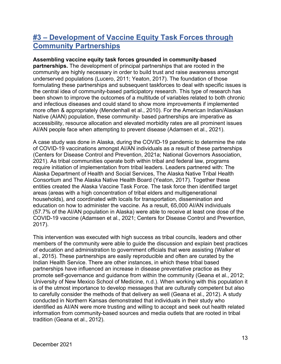### <span id="page-12-0"></span>**#3 – Development of Vaccine Equity Task Forces through Community Partnerships**

#### **Assembling vaccine equity task forces grounded in community-based**

**partnerships.** The development of principal partnerships that are rooted in the community are highly necessary in order to build trust and raise awareness amongst underserved populations (Lucero, 2011; Yeaton, 2017). The foundation of those formulating these partnerships and subsequent taskforces to deal with specific issues is the central idea of community-based participatory research. This type of research has been shown to improve the outcomes of a multitude of variables related to both chronic and infectious diseases and could stand to show more improvements if implemented more often & appropriately (Mendenhall et al., 2010). For the American Indian/Alaskan Native (AIAN) population, these community- based partnerships are imperative as accessibility, resource allocation and elevated morbidity rates are all prominent issues AI/AN people face when attempting to prevent disease (Adamsen et al., 2021).

A case study was done in Alaska, during the COVID-19 pandemic to determine the rate of COVID-19 vaccinations amongst AI/AN individuals as a result of these partnerships (Centers for Disease Control and Prevention, 2021a; National Governors Association, 2021). As tribal communities operate both within tribal and federal law, programs require initiation of implementation from tribal leaders. Leaders partnered with: The Alaska Department of Health and Social Services, The Alaska Native Tribal Health Consortium and The Alaska Native Health Board (Yeaton, 2017). Together these entities created the Alaska Vaccine Task Force. The task force then identified target areas (areas with a high concentration of tribal elders and multigenerational households), and coordinated with locals for transportation, dissemination and education on how to administer the vaccine. As a result, 65,000 AI/AN individuals (57.7% of the AI/AN population in Alaska) were able to receive at least one dose of the COVID-19 vaccine (Adamsen et al., 2021; Centers for Disease Control and Prevention, 2017).

This intervention was executed with high success as tribal councils, leaders and other members of the community were able to guide the discussion and explain best practices of education and administration to government officials that were assisting (Walker et al., 2015). These partnerships are easily reproducible and often are curated by the Indian Health Service. There are other instances, in which these tribal based partnerships have influenced an increase in disease preventative practice as they promote self-governance and guidance from within the community (Geana et al., 2012; University of New Mexico School of Medicine, n.d.). When working with this population it is of the utmost importance to develop messages that are culturally competent but also to carefully consider the methods of that delivery as well (Geana et al., 2012). A study conducted in Northern Kansas demonstrated that individuals in their study who identified as AI/AN were more trusting and willing to accept and seek out health related information from community-based sources and media outlets that are rooted in tribal tradition (Geana et al., 2012).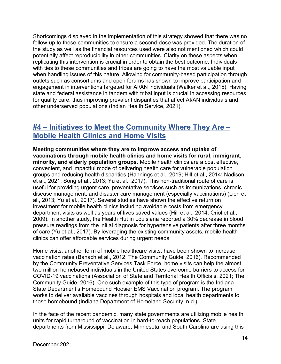Shortcomings displayed in the implementation of this strategy showed that there was no follow-up to these communities to ensure a second-dose was provided. The duration of the study as well as the financial resources used were also not mentioned which could potentially affect reproducibility in other communities. Clarity on these aspects when replicating this intervention is crucial in order to obtain the best outcome. Individuals with ties to these communities and tribes are going to have the most valuable input when handling issues of this nature. Allowing for community-based participation through outlets such as consortiums and open forums has shown to improve participation and engagement in interventions targeted for AI/AN individuals (Walker et al., 2015). Having state and federal assistance in tandem with tribal input is crucial in accessing resources for quality care, thus improving prevalent disparities that affect AI/AN individuals and other underserved populations (Indian Health Service, 2021).

### <span id="page-13-0"></span>**#4 – Initiatives to Meet the Community Where They Are – Mobile Health Clinics and Home Visits**

**Meeting communities where they are to improve access and uptake of vaccinations through mobile health clinics and home visits for rural, immigrant, minority, and elderly population groups**. Mobile health clinics are a cost effective, convenient, and impactful mode of delivering health care for vulnerable population groups and reducing health disparities (Hannings et al., 2019; Hill et al., 2014; Nadison et al., 2021; Song et al., 2013; Yu et al., 2017). This non-traditional route of care is useful for providing urgent care, preventative services such as immunizations, chronic disease management, and disaster care management (especially vaccinations) (Lien et al., 2013; Yu et al., 2017). Several studies have shown the effective return on investment for mobile health clinics including avoidable costs from emergency department visits as well as years of lives saved values (Hill et al., 2014; Oriol et al., 2009). In another study, the Health Hut in Louisiana reported a 30% decrease in blood pressure readings from the initial diagnosis for hypertensive patients after three months of care (Yu et al., 2017). By leveraging the existing community assets, mobile health clinics can offer affordable services during urgent needs.

Home visits, another form of mobile healthcare visits, have been shown to increase vaccination rates (Banach et al., 2012; The Community Guide, 2016). Recommended by the Community Preventative Services Task Force, home visits can help the almost two million homebased individuals in the United States overcome barriers to access for COVID-19 vaccinations (Association of State and Territorial Health Officials, 2021; The Community Guide, 2016). One such example of this type of program is the Indiana State Department's Homebound Hoosier EMS Vaccination program. The program works to deliver available vaccines through hospitals and local health departments to those homebound (Indiana Department of Homeland Security, n.d.).

In the face of the recent pandemic, many state governments are utilizing mobile health units for rapid turnaround of vaccination in hard-to-reach populations. State departments from Mississippi, Delaware, Minnesota, and South Carolina are using this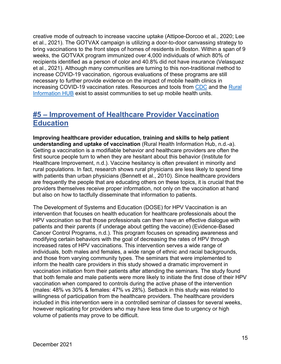creative mode of outreach to increase vaccine uptake (Attipoe-Dorcoo et al., 2020; Lee et al., 2021). The GOTVAX campaign is utilizing a door-to-door canvassing strategy to bring vaccinations to the front steps of homes of residents in Boston. Within a span of 9 weeks, the GOTVAX program immunized over 4,000 individuals of which 80% of recipients identified as a person of color and 40.8% did not have insurance (Velasquez et al., 2021). Although many communities are turning to this non-traditional method to increase COVID-19 vaccination, rigorous evaluations of these programs are still necessary to further provide evidence on the impact of mobile health clinics in increasing COVID-19 vaccination rates. Resources and tools from [CDC](https://www.cdc.gov/vaccines/covid-19/planning/mobile.html) and the [Rural](https://www.ruralhealthinfo.org/toolkits/transportation/2/models-to-overcome-barriers/mobile-clinics)  [Information HUB](https://www.ruralhealthinfo.org/toolkits/transportation/2/models-to-overcome-barriers/mobile-clinics) exist to assist communities to set up mobile health units.

### <span id="page-14-0"></span>**#5 – Improvement of Healthcare Provider Vaccination Education**

**Improving healthcare provider education, training and skills to help patient understanding and uptake of vaccination** (Rural Health Information Hub, n.d.-a). Getting a vaccination is a modifiable behavior and healthcare providers are often the first source people turn to when they are hesitant about this behavior (Institute for Healthcare Improvement, n.d.). Vaccine hesitancy is often prevalent in minority and rural populations. In fact, research shows rural physicians are less likely to spend time with patients than urban physicians (Bennett et al., 2010). Since healthcare providers are frequently the people that are educating others on these topics, it is crucial that the providers themselves receive proper information, not only on the vaccination at hand but also on how to tactfully disseminate that information to patients.

The Development of Systems and Education (DOSE) for HPV Vaccination is an intervention that focuses on health education for healthcare professionals about the HPV vaccination so that those professionals can then have an effective dialogue with patients and their parents (if underage about getting the vaccine) (Evidence-Based Cancer Control Programs, n.d.). This program focuses on spreading awareness and modifying certain behaviors with the goal of decreasing the rates of HPV through increased rates of HPV vaccinations. This intervention serves a wide range of individuals, both males and females, a wide range of ethnic and racial backgrounds, and those from varying community types. The seminars that were implemented to inform the health care providers in this study showed a dramatic improvement in vaccination initiation from their patients after attending the seminars. The study found that both female and male patients were more likely to initiate the first dose of their HPV vaccination when compared to controls during the active phase of the intervention (males: 48% vs 30% & females: 47% vs 28%). Setback in this study was related to willingness of participation from the healthcare providers. The healthcare providers included in this intervention were in a controlled seminar of classes for several weeks, however replicating for providers who may have less time due to urgency or high volume of patients may prove to be difficult.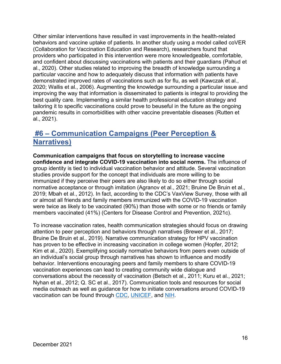Other similar interventions have resulted in vast improvements in the health-related behaviors and vaccine uptake of patients. In another study using a model called coVER (Collaboration for Vaccination Education and Research), researchers found that providers who participated in this intervention were more knowledgeable, comfortable, and confident about discussing vaccinations with patients and their guardians (Pahud et al., 2020). Other studies related to improving the breadth of knowledge surrounding a particular vaccine and how to adequately discuss that information with patients have demonstrated improved rates of vaccinations such as for flu, as well (Kawczak et al., 2020; Wallis et al., 2006). Augmenting the knowledge surrounding a particular issue and improving the way that information is disseminated to patients is integral to providing the best quality care. Implementing a similar health professional education strategy and tailoring it to specific vaccinations could prove to beuseful in the future as the ongoing pandemic results in comorbidities with other vaccine preventable diseases (Rutten et al., 2021).

### <span id="page-15-0"></span>**#6 – Communication Campaigns (Peer Perception & Narratives)**

**Communication campaigns that focus on storytelling to increase vaccine confidence and integrate COVID-19 vaccination into social norms.** The influence of group identity is tied to individual vaccination behavior and attitude. Several vaccination studies provide support for the concept that individuals are more willing to be immunized if they perceive their peers are also likely to do so either through social normative acceptance or through imitation (Agranov et al., 2021; Bruine De Bruin et al., 2019; Mbah et al., 2012). In fact, according to the CDC's VaxView Survey, those with all or almost all friends and family members immunized with the COVID-19 vaccination were twice as likely to be vaccinated (90%) than those with some or no friends or family members vaccinated (41%) (Centers for Disease Control and Prevention, 2021c).

To increase vaccination rates, health communication strategies should focus on drawing attention to peer perception and behaviors through narratives (Brewer et al., 2017; Bruine De Bruin et al., 2019). Narrative communication strategy for HPV vaccination has proven to be effective in increasing vaccination in college women (Hopfer, 2012; Kim et al., 2020). Exemplifying socially normative behaviors from peers even outside of an individual's social group through narratives has shown to influence and modify behavior. Interventions encouraging peers and family members to share COVID-19 vaccination experiences can lead to creating community wide dialogue and conversations about the necessity of vaccination (Betsch et al., 2011; Kuru et al., 2021; Nyhan et al., 2012; Q. SC et al., 2017). Communication tools and resources for social media outreach as well as guidance for how to initiate conversations around COVID-19 vaccination can be found through [CDC,](https://www.cdc.gov/coronavirus/2019-ncov/vaccines/talk-about-vaccines.html) [UNICEF,](https://www.unicef.org/coronavirus/how-talk-about-covid-19-vaccines) and [NIH.](https://covid19community.nih.gov/resources/vaccine-faq-social-cards)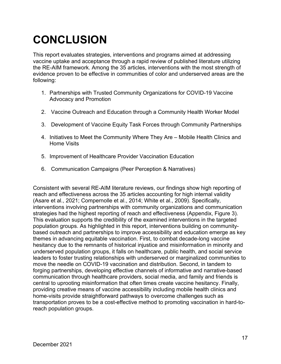# <span id="page-16-0"></span>**CONCLUSION**

This report evaluates strategies, interventions and programs aimed at addressing vaccine uptake and acceptance through a rapid review of published literature utilizing the RE-AIM framework. Among the 35 articles, interventions with the most strength of evidence proven to be effective in communities of color and underserved areas are the following:

- 1. Partnerships with Trusted Community Organizations for COVID-19 Vaccine Advocacy and Promotion
- 2. Vaccine Outreach and Education through a Community Health Worker Model
- 3. Development of Vaccine Equity Task Forces through Community Partnerships
- 4. Initiatives to Meet the Community Where They Are Mobile Health Clinics and Home Visits
- 5. Improvement of Healthcare Provider Vaccination Education
- 6. Communication Campaigns (Peer Perception & Narratives)

Consistent with several RE-AIM literature reviews, our findings show high reporting of reach and effectiveness across the 35 articles accounting for high internal validity (Asare et al., 2021; Compernolle et al., 2014; White et al., 2009). Specifically, interventions involving partnerships with community organizations and communication strategies had the highest reporting of reach and effectiveness (Appendix, Figure 3). This evaluation supports the credibility of the examined interventions in the targeted population groups. As highlighted in this report, interventions building on communitybased outreach and partnerships to improve accessibility and education emerge as key themes in advancing equitable vaccination. First, to combat decade-long vaccine hesitancy due to the remnants of historical injustice and misinformation in minority and underserved population groups, it falls on healthcare, public health, and social service leaders to foster trusting relationships with underserved or marginalized communities to move the needle on COVID-19 vaccination and distribution. Second, in tandem to forging partnerships, developing effective channels of informative and narrative-based communication through healthcare providers, social media, and family and friends is central to uprooting misinformation that often times create vaccine hesitancy. Finally, providing creative means of vaccine accessibility including mobile health clinics and home-visits provide straightforward pathways to overcome challenges such as transportation proves to be a cost-effective method to promoting vaccination in hard-toreach population groups.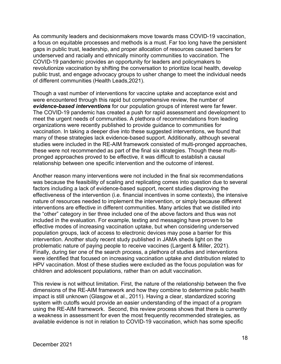As community leaders and decisionmakers move towards mass COVID-19 vaccination, a focus on equitable processes and methods is a must. Far too long have the persistent gaps in public trust, leadership, and proper allocation of resources caused barriers for underserved and racially and ethnically minority communities to vaccination. The COVID-19 pandemic provides an opportunity for leaders and policymakers to revolutionize vaccination by shifting the conversation to prioritize local health, develop public trust, and engage advocacy groups to usher change to meet the individual needs of different communities (Health Leads,2021).

Though a vast number of interventions for vaccine uptake and acceptance exist and were encountered through this rapid but comprehensive review, the number of *evidence-based interventions* for our population groups of interest were far fewer. The COVID-19 pandemic has created a push for rapid assessment and development to meet the urgent needs of communities. A plethora of recommendations from leading organizations were recently published to provide guidance to communities for vaccination. In taking a deeper dive into these suggested interventions, we found that many of these strategies lack evidence-based support. Additionally, although several studies were included in the RE-AIM framework consisted of multi-pronged approaches, these were not recommended as part of the final six strategies. Though these multipronged approaches proved to be effective, it was difficult to establish a causal relationship between one specific intervention and the outcome of interest.

Another reason many interventions were not included in the final six recommendations was because the feasibility of scaling and replicating comes into question due to several factors including a lack of evidence-based support, recent studies disproving the effectiveness of the intervention (i.e. financial incentives in some contexts), the intensive nature of resources needed to implement the intervention, or simply because different interventions are effective in different communities. Many articles that we distilled into the "other" category in tier three included one of the above factors and thus was not included in the evaluation. For example, texting and messaging have proven to be effective modes of increasing vaccination uptake, but when considering underserved population groups, lack of access to electronic devices may pose a barrier for this intervention. Another study recent study published in JAMA sheds light on the problematic nature of paying people to receive vaccines (Largent & Miller, 2021). Finally, during tier one of the search process, a plethora of studies and interventions were identified that focused on increasing vaccination uptake and distribution related to HPV vaccination. Most of these studies were excluded as the focus population was for children and adolescent populations, rather than on adult vaccination.

This review is not without limitation. First, the nature of the relationship between the five dimensions of the RE-AIM framework and how they combine to determine public health impact is still unknown (Glasgow et al., 2011). Having a clear, standardized scoring system with cutoffs would provide an easier understanding of the impact of a program using the RE-AIM framework. Second, this review process shows that there is currently a weakness in assessment for even the most frequently recommended strategies, as available evidence is not in relation to COVID-19 vaccination, which has some specific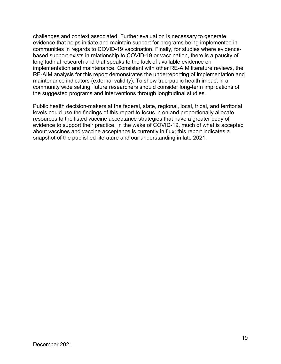challenges and context associated. Further evaluation is necessary to generate evidence that helps initiate and maintain support for programs being implemented in communities in regards to COVID-19 vaccination. Finally, for studies where evidencebased support exists in relationship to COVID-19 or vaccination, there is a paucity of longitudinal research and that speaks to the lack of available evidence on implementation and maintenance. Consistent with other RE-AIM literature reviews, the RE-AIM analysis for this report demonstrates the underreporting of implementation and maintenance indicators (external validity). To show true public health impact in a community wide setting, future researchers should consider long-term implications of the suggested programs and interventions through longitudinal studies.

Public health decision-makers at the federal, state, regional, local, tribal, and territorial levels could use the findings of this report to focus in on and proportionally allocate resources to the listed vaccine acceptance strategies that have a greater body of evidence to support their practice. In the wake of COVID-19, much of what is accepted about vaccines and vaccine acceptance is currently in flux; this report indicates a snapshot of the published literature and our understanding in late 2021.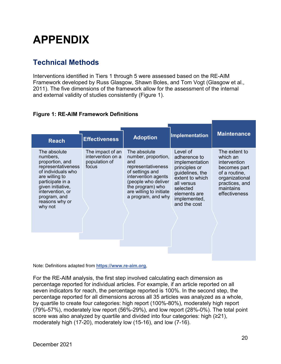## <span id="page-19-0"></span>**APPENDIX**

### <span id="page-19-1"></span>**Technical Methods**

Interventions identified in Tiers 1 through 5 were assessed based on the RE-AIM Framework developed by Russ Glasgow, Shawn Boles, and Tom Vogt (Glasgow et al., 2011). The five dimensions of the framework allow for the assessment of the internal and external validity of studies consistently (Figure 1).

#### **Figure 1: RE-AIM Framework Definitions**

| <b>Reach</b>                                                                                                                                                                                                        | <b>Effectiveness</b>                                            | <b>Adoption</b>                                                                                                                                                                                        | <b>Implementation</b>                                                                                                                                                       | <b>Maintenance</b>                                                                                                                                  |
|---------------------------------------------------------------------------------------------------------------------------------------------------------------------------------------------------------------------|-----------------------------------------------------------------|--------------------------------------------------------------------------------------------------------------------------------------------------------------------------------------------------------|-----------------------------------------------------------------------------------------------------------------------------------------------------------------------------|-----------------------------------------------------------------------------------------------------------------------------------------------------|
| The absolute<br>numbers,<br>proportion, and<br>representativeness<br>of individuals who<br>are willing to<br>participate in a<br>given initiative,<br>intervention, or<br>program, and<br>reasons why or<br>why not | The impact of an<br>intervention on a<br>population of<br>focus | The absolute<br>number, proportion,<br>and<br>representativeness<br>of settings and<br>intervention agents<br>(people who deliver<br>the program) who<br>are willing to initiate<br>a program, and why | Level of<br>adherence to<br>implementation<br>principles or<br>guidelines, the<br>extent to which<br>all versus<br>selected<br>elements are<br>implemented,<br>and the cost | The extent to<br>which an<br><i>intervention</i><br>becomes part<br>of a routine,<br>organizational<br>practices, and<br>maintains<br>effectiveness |
|                                                                                                                                                                                                                     |                                                                 |                                                                                                                                                                                                        |                                                                                                                                                                             |                                                                                                                                                     |

Note: Definitions adapted from **[https://www.re-aim.org](https://www.re-aim.org/)**,

For the RE-AIM analysis, the first step involved calculating each dimension as percentage reported for individual articles. For example, if an article reported on all seven indicators for reach, the percentage reported is 100%. In the second step, the percentage reported for all dimensions across all 35 articles was analyzed as a whole, by quartile to create four categories: high report (100%-80%), moderately high report (79%-57%), moderately low report (56%-29%), and low report (28%-0%). The total point score was also analyzed by quartile and divided into four categories: high (≥21), moderately high (17-20), moderately low (15-16), and low (7-16).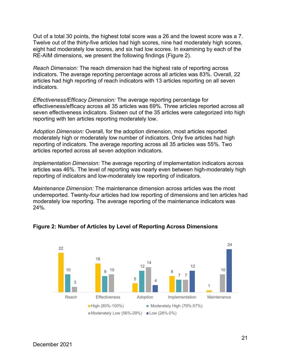Out of a total 30 points, the highest total score was a 26 and the lowest score was a 7. Twelve out of the thirty-five articles had high scores, nine had moderately high scores, eight had moderately low scores, and six had low scores. In examining by each of the RE-AIM dimensions, we present the following findings (Figure 2).

*Reach Dimension:* The reach dimension had the highest rate of reporting across indicators. The average reporting percentage across all articles was 83%. Overall, 22 articles had high reporting of reach indicators with 13 articles reporting on all seven indicators.

*Effectiveness/Efficacy Dimension:* The average reporting percentage for effectiveness/efficacy across all 35 articles was 69%. Three articles reported across all seven effectiveness indicators. Sixteen out of the 35 articles were categorized into high reporting with ten articles reporting moderately low.

*Adoption Dimension:* Overall, for the adoption dimension, most articles reported moderately high or moderately low number of indicators. Only five articles had high reporting of indicators. The average reporting across all 35 articles was 55%. Two articles reported across all seven adoption indicators.

*Implementation Dimension:* The average reporting of implementation indicators across articles was 46%. The level of reporting was nearly even between high-moderately high reporting of indicators and low-moderately low reporting of indicators.

*Maintenance Dimension:* The maintenance dimension across articles was the most underreported. Twenty-four articles had low reporting of dimensions and ten articles had moderately low reporting. The average reporting of the maintenance indicators was 24%.



#### **Figure 2: Number of Articles by Level of Reporting Across Dimensions**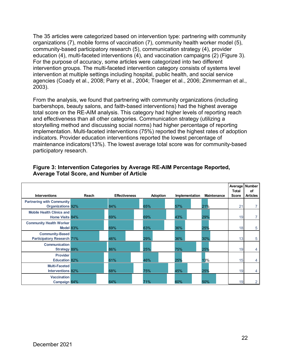The 35 articles were categorized based on intervention type: partnering with community organizations (7), mobile forms of vaccination (7), community health worker model (5), community-based participatory research (5), communication strategy (4), provider education (4), multi-faceted interventions (4), and vaccination campaigns (2) (Figure 3). For the purpose of accuracy, some articles were categorized into two different intervention groups. The multi-faceted intervention category consists of systems level intervention at multiple settings including hospital, public health, and social service agencies (Coady et al., 2008; Parry et al., 2004; Traeger et al., 2006; Zimmerman et al., 2003).

From the analysis, we found that partnering with community organizations (including barbershops, beauty salons, and faith-based interventions) had the highest average total score on the RE-AIM analysis. This category had higher levels of reporting reach and effectiveness than all other categories. Communication strategy (utilizing a storytelling method and discussing social norms) had higher percentage of reporting implementation. Multi-faceted interventions (75%) reported the highest rates of adoption indicators. Provider education interventions reported the lowest percentage of maintenance indicators(13%). The lowest average total score was for community-based participatory research.

| <b>Interventions</b>                                         | Reach | <b>Effectiveness</b> | <b>Adoption</b> | Implementation | <b>Maintenance</b> | Average Number<br><b>Total</b><br><b>Score</b> | οf<br><b>Articles</b> |
|--------------------------------------------------------------|-------|----------------------|-----------------|----------------|--------------------|------------------------------------------------|-----------------------|
| <b>Partnering with Community</b><br><b>Organizations 92%</b> |       | 84%                  | 65%             | 57%            | 21%                | 21                                             |                       |
| <b>Mobile Health Clinics and</b><br>Home Visits 84%          |       | 69%                  | 69%             | 43%            | 29%                | 19                                             |                       |
| <b>Community Health Worker</b><br>Model 83%                  |       | 69%                  | 63%             | 36%            | 25%                | 18                                             | 5                     |
| <b>Community-Based</b><br><b>Participatory Research 71%</b>  |       | 46%                  | 29%             | 36%            | 30%                | 13                                             | 5                     |
| <b>Communication</b><br><b>Strategy 89%</b>                  |       | 86%                  | 25%             | 75%            | 25%                | 19                                             | 4                     |
| <b>Provider</b><br><b>Education 82%</b>                      |       | 61%                  | 46%             | 25%            | 13%                | 15                                             | 4                     |
| <b>Multi-Faceted</b><br>Interventions 82%                    |       | 68%                  | 75%             | 45%            | 25%                | 19                                             | 4                     |
| <b>Vaccination</b><br>Campaign 64%                           |       | 64%                  | 71%             | 60%            | 50%                | 19                                             | $\overline{2}$        |

#### **Figure 3: Intervention Categories by Average RE-AIM Percentage Reported, Average Total Score, and Number of Article**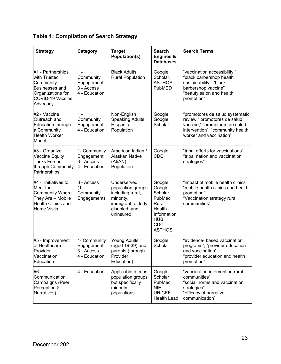|  | <b>Table 1: Compilation of Search Strategy</b> |  |  |
|--|------------------------------------------------|--|--|
|--|------------------------------------------------|--|--|

| <b>Strategy</b>                                                                                                                     | Category                                                        | <b>Target</b><br>Population(s)                                                                                         | <b>Search</b><br><b>Engines &amp;</b><br><b>Databases</b>                                                            | <b>Search Terms</b>                                                                                                                                              |
|-------------------------------------------------------------------------------------------------------------------------------------|-----------------------------------------------------------------|------------------------------------------------------------------------------------------------------------------------|----------------------------------------------------------------------------------------------------------------------|------------------------------------------------------------------------------------------------------------------------------------------------------------------|
| #1 - Partnerships<br>with Trusted<br>Community<br><b>Businesses and</b><br>Organizations for<br><b>COVID-19 Vaccine</b><br>Advocacy | $1 -$<br>Community<br>Engagement<br>3 - Access<br>4 - Education | <b>Black Adults</b><br><b>Rural Population</b>                                                                         | Google<br>Scholar,<br><b>ASTHOS</b><br>PubMED                                                                        | "vaccination accessibility,"<br>"black barbershop health<br>sustainability," "black<br>barbershop vaccine"<br>"beauty salon and health<br>promotion"             |
| #2 - Vaccine<br>Outreach and<br><b>Education through</b><br>a Community<br><b>Health Worker</b><br>Model                            | $1 -$<br>Community<br>Engagement<br>4 - Education               | Non-English<br>Speaking Adults,<br>Hispanic<br>Population                                                              | Google,<br>Google<br>Scholar                                                                                         | "promotores de salud systematic<br>review," promotores de salud<br>vaccine," "promotores de salud<br>intervention", "community health<br>worker and vaccination" |
| #3 - Organize<br>Vaccine Equity<br><b>Tasks Forces</b><br>through Community<br>Partnerships                                         | 1- Community<br>Engagement<br>3 - Access<br>4 - Education       | American Indian /<br>Alaskan Native<br>(AI/AN)<br>Population                                                           | Google<br><b>CDC</b>                                                                                                 | "tribal efforts for vaccinations"<br>"tribal nation and vaccination<br>strategies"                                                                               |
| $#4$ - Initiatives to<br>Meet the<br><b>Community Where</b><br>They Are - Mobile<br><b>Health Clinics and</b><br>Home Visits        | 3 - Access<br>$(1 -$<br>Community<br>Engagement)                | Underserved<br>population groups<br>including rural,<br>minority,<br>immigrant, elderly,<br>disabled, and<br>uninsured | Google<br>Google<br>Scholar<br>PubMed<br>Rural<br>Health<br>Information<br><b>HUB</b><br><b>CDC</b><br><b>ASTHOS</b> | "impact of mobile health clinics"<br>"mobile health clinics and health<br>promotion"<br>"Vaccination strategy rural<br>communities"                              |
| #5 - Improvement<br>of Healthcare<br>Provider<br>Vaccination<br>Education                                                           | 1- Community<br>Engagement<br>3 - Access<br>4 - Education       | <b>Young Adults</b><br>(aged 19-39) and<br>parents (through<br>Provider<br>Education)                                  | Google<br>Scholar                                                                                                    | "evidence- based vaccination<br>programs", "provider education<br>and vaccination"<br>"provider education and health<br>promotion"                               |
| #6 -<br>Communication<br>Campaigns (Peer<br>Perception &<br>Narratives)                                                             | 4 - Education                                                   | Applicable to most<br>population groups<br>but specifically<br>minority<br>populations                                 | Google<br>Scholar<br>PubMed<br><b>NIH</b><br><b>UNICEF</b><br><b>Health Lead</b>                                     | "vaccination intervention rural<br>communities"<br>"social norms and vaccination<br>strategies"<br>"efficacy of narrative<br>communication"                      |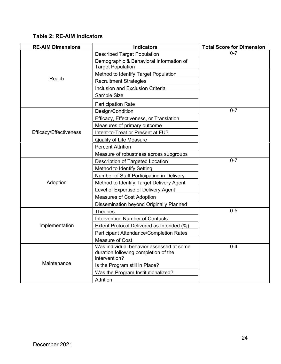#### **Table 2: RE-AIM Indicators**

| <b>RE-AIM Dimensions</b> | <b>Indicators</b>                                                                                 | <b>Total Score for Dimension</b> |
|--------------------------|---------------------------------------------------------------------------------------------------|----------------------------------|
|                          | <b>Described Target Population</b>                                                                | $0 - 7$                          |
|                          | Demographic & Behavioral Information of<br><b>Target Population</b>                               |                                  |
|                          | Method to Identify Target Population                                                              |                                  |
| Reach                    | <b>Recruitment Strategies</b>                                                                     |                                  |
|                          | Inclusion and Exclusion Criteria                                                                  |                                  |
|                          | Sample Size                                                                                       |                                  |
|                          | <b>Participation Rate</b>                                                                         |                                  |
|                          | Design/Condition                                                                                  | $0 - 7$                          |
|                          | Efficacy, Effectiveness, or Translation                                                           |                                  |
|                          | Measures of primary outcome                                                                       |                                  |
| Efficacy/Effectiveness   | Intent-to-Treat or Present at FU?                                                                 |                                  |
|                          | <b>Quality of Life Measure</b>                                                                    |                                  |
|                          | <b>Percent Attrition</b>                                                                          |                                  |
|                          | Measure of robustness across subgroups                                                            |                                  |
|                          | Description of Targeted Location                                                                  | $0 - 7$                          |
|                          | Method to Identify Setting                                                                        |                                  |
|                          | Number of Staff Participating in Delivery                                                         |                                  |
| Adoption                 | Method to Identify Target Delivery Agent                                                          |                                  |
|                          | Level of Expertise of Delivery Agent                                                              |                                  |
|                          | <b>Measures of Cost Adoption</b>                                                                  |                                  |
|                          | Dissemination beyond Originally Planned                                                           |                                  |
|                          | <b>Theories</b>                                                                                   | $0-5$                            |
|                          | <b>Intervention Number of Contacts</b>                                                            |                                  |
| Implementation           | Extent Protocol Delivered as Intended (%)                                                         |                                  |
|                          | <b>Participant Attendance/Completion Rates</b>                                                    |                                  |
|                          | Measure of Cost                                                                                   |                                  |
|                          | Was individual behavior assessed at some<br>duration following completion of the<br>intervention? | $0 - 4$                          |
| Maintenance              | Is the Program still in Place?                                                                    |                                  |
|                          | Was the Program Institutionalized?                                                                |                                  |
|                          | Attrition                                                                                         |                                  |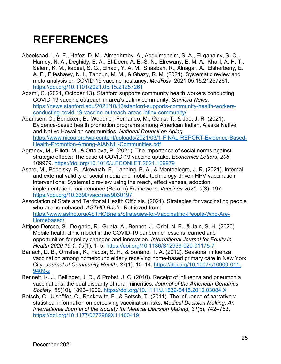## <span id="page-24-0"></span>**REFERENCES**

- Aboelsaad, I. A. F., Hafez, D. M., Almaghraby, A., Abdulmoneim, S. A., El-ganainy, S. O., Hamdy, N. A., Deghidy, E. A., El-Deen, A. E.-S. N., Elrewany, E. M. A., Khalil, A. H. T., Salem, K. M., kabeel, S. G., Elhadi, Y. A. M., Shaaban, R., Alnagar, A., Elsherbeny, E. A. F., Elfeshawy, N. I., Tahoun, M. M., & Ghazy, R. M. (2021). Systematic review and meta-analysis on COVID-19 vaccine hesitancy. *MedRxiv*, 2021.05.15.21257261. <https://doi.org/10.1101/2021.05.15.21257261>
- Adami, C. (2021, October 13). Stanford supports community health workers conducting COVID-19 vaccine outreach in area's Latinx community. *Stanford News*. [https://news.stanford.edu/2021/10/13/stanford-supports-community-health-workers](https://news.stanford.edu/2021/10/13/stanford-supports-community-health-workers-conducting-covid-19-vaccine-outreach-areas-latinx-community/)[conducting-covid-19-vaccine-outreach-areas-latinx-community/](https://news.stanford.edu/2021/10/13/stanford-supports-community-health-workers-conducting-covid-19-vaccine-outreach-areas-latinx-community/)
- Adamsen, C., Bendixen, B., Woodrich-Fernando, M., Goins, T., & Joe, J. R. (2021). Evidence-based health promotion programs among American Indian, Alaska Native, and Native Hawaiian communities. *National Council on Aging*. [https://www.nicoa.org/wp-content/uploads/2021/03/1-FINAL-REPORT-Evidence-Based-](https://www.nicoa.org/wp-content/uploads/2021/03/1-FINAL-REPORT-Evidence-Based-Health-Promotion-Among-AIANNH-Communities.pdf)[Health-Promotion-Among-AIANNH-Communities.pdf](https://www.nicoa.org/wp-content/uploads/2021/03/1-FINAL-REPORT-Evidence-Based-Health-Promotion-Among-AIANNH-Communities.pdf)
- Agranov, M., Elliott, M., & Ortoleva, P. (2021). The importance of social norms against strategic effects: The case of COVID-19 vaccine uptake. *Economics Letters*, *206*, 109979.<https://doi.org/10.1016/J.ECONLET.2021.109979>
- Asare, M., Popelsky, B., Akowuah, E., Lanning, B. A., & Montealegre, J. R. (2021). Internal and external validity of social media and mobile technology-driven HPV vaccination interventions: Systematic review using the reach, effectiveness, adoption, implementation, maintenance (Re-aim) Framework. *Vaccines 2021, 9*(3), 197. <https://doi.org/10.3390/vaccines9030197>
- Association of State and Territorial Health Officials. (2021). Strategies for vaccinating people who are homebased. *ASTHO Briefs*. Retrieved from: [https://www.astho.org/ASTHOBriefs/Strategies-for-Vaccinating-People-Who-Are-](https://www.astho.org/ASTHOBriefs/Strategies-for-Vaccinating-People-Who-Are-Homebased/)[Homebased/](https://www.astho.org/ASTHOBriefs/Strategies-for-Vaccinating-People-Who-Are-Homebased/)
- Attipoe-Dorcoo, S., Delgado, R., Gupta, A., Bennet, J., Oriol, N. E., & Jain, S. H. (2020). Mobile health clinic model in the COVID-19 pandemic: lessons learned and opportunities for policy changes and innovation. *International Journal for Equity in Health 2020 19:1*, *19*(1), 1–5.<https://doi.org/10.1186/S12939-020-01175-7>
- Banach, D. B., Ornstein, K., Factor, S. H., & Soriano, T. A. (2012). Seasonal influenza vaccination among homebound elderly receiving home-based primary care in New York City. *Journal of Community Health*, *37*(1), 10–14. [https://doi.org/10.1007/s10900-011-](https://doi.org/10.1007/s10900-011-9409-z) [9409-z](https://doi.org/10.1007/s10900-011-9409-z)
- Bennett, K. J., Bellinger, J. D., & Probst, J. C. (2010). Receipt of influenza and pneumonia vaccinations: the dual disparity of rural minorities. *Journal of the American Geriatrics Society*, *58*(10), 1896–1902.<https://doi.org/10.1111/J.1532-5415.2010.03084.X>
- Betsch, C., Ulshöfer, C., Renkewitz, F., & Betsch, T. (2011). The influence of narrative v. statistical information on perceiving vaccination risks. *Medical Decision Making: An International Journal of the Society for Medical Decision Making*, *31*(5), 742–753. <https://doi.org/10.1177/0272989X11400419>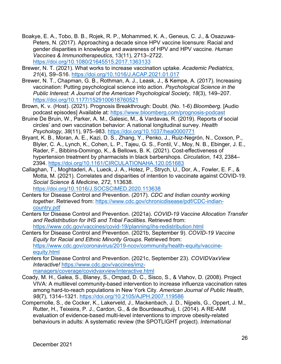- Boakye, E. A., Tobo, B. B., Rojek, R. P., Mohammed, K. A., Geneus, C. J., & Osazuwa-Peters, N. (2017). Approaching a decade since HPV vaccine licensure: Racial and gender disparities in knowledge and awareness of HPV and HPV vaccine. *Human Vaccines & Immunotherapeutics*, 13(11), 2713–2722. <https://doi.org/10.1080/21645515.2017.1363133>
- Brewer, N. T. (2021). What works to increase vaccination uptake. *Academic Pediatrics*, *21*(4), S9–S16.<https://doi.org/10.1016/J.ACAP.2021.01.017>
- Brewer, N. T., Chapman, G. B., Rothman, A. J., Leask, J., & Kempe, A. (2017). Increasing vaccination: Putting psychological science into action. *Psychological Science in the Public Interest: A Journal of the American Psychological Society*, *18*(3), 149–207. <https://doi.org/10.1177/1529100618760521>
- Brown, K. v. (Host). (2021). Prognosis Breakthrough: Doubt. (No. 1-6) *Bloomberg*. [Audio podcast episodes] Available at:<https://www.bloomberg.com/prognosis-podcast>
- Bruine De Bruin, W., Parker, A. M., Galesic, M., & Vardavas, R. (2019). Reports of social circles' and own vaccination behavior: A national longitudinal survey. *Health Psychology*, *38*(11), 975–983.<https://doi.org/10.1037/hea0000771>
- Bryant, K. B., Moran, A. E., Kazi, D. S., Zhang, Y., Penko, J., Ruiz-Negrón, N., Coxson, P., Blyler, C. A., Lynch, K., Cohen, L. P., Tajeu, G. S., Fontil, V., Moy, N. B., Ebinger, J. E., Rader, F., Bibbins-Domingo, K., & Bellows, B. K. (2021). Cost-effectiveness of hypertension treatment by pharmacists in black barbershops. *Circulation*, *143*, 2384– 2394.<https://doi.org/10.1161/CIRCULATIONAHA.120.051683>
- Callaghan, T., Moghtaderi, A., Lueck, J. A., Hotez, P., Strych, U., Dor, A., Fowler, E. F., & Motta, M. (2021). Correlates and disparities of intention to vaccinate against COVID-19. *Social Science & Medicine*, *272*, 113638. <https://doi.org/10.1016/J.SOCSCIMED.2020.113638>
- Centers for Disease Control and Prevention. (2017). *CDC and Indian country working together*. Retrieved from: [https://www.cdc.gov/chronicdisease/pdf/CDC-indian](https://www.cdc.gov/chronicdisease/pdf/CDC-indian-country.pdf)[country.pdf](https://www.cdc.gov/chronicdisease/pdf/CDC-indian-country.pdf)
- Centers for Disease Control and Prevention. (2021a). *COVID-19 Vaccine Allocation Transfer and Redistribution for IHS and Tribal Facilities*. Retrieved from: <https://www.cdc.gov/vaccines/covid-19/planning/ihs-redistribution.html>
- Centers for Disease Control and Prevention. (2021b, September 9). *COVID-19 Vaccine Equity for Racial and Ethnic Minority Groups*. Retrieved from: [https://www.cdc.gov/coronavirus/2019-ncov/community/health-equity/vaccine](https://www.cdc.gov/coronavirus/2019-ncov/community/health-equity/vaccine-equity.html)[equity.html](https://www.cdc.gov/coronavirus/2019-ncov/community/health-equity/vaccine-equity.html)
- Centers for Disease Control and Prevention. (2021c, September 23). *COVIDVaxView Interactive!* [https://www.cdc.gov/vaccines/imz](https://www.cdc.gov/vaccines/imz-managers/coverage/covidvaxview/interactive.html)[managers/coverage/covidvaxview/interactive.html](https://www.cdc.gov/vaccines/imz-managers/coverage/covidvaxview/interactive.html)
- Coady, M. H., Galea, S., Blaney, S., Ompad, D. C., Sisco, S., & Vlahov, D. (2008). Project VIVA: A multilevel community-based intervention to increase influenza vaccination rates among hard-to-reach populations in New York City. *American Journal of Public Health*, *98*(7), 1314–1321.<https://doi.org/10.2105/AJPH.2007.119586>
- Compernolle, S., de Cocker, K., Lakerveld, J., Mackenbach, J. D., Nijpels, G., Oppert, J. M., Rutter, H., Teixeira, P. J., Cardon, G., & de Bourdeaudhuij, I. (2014). A RE-AIM evaluation of evidence-based multi-level interventions to improve obesity-related behaviours in adults: A systematic review (the SPOTLIGHT project). *International*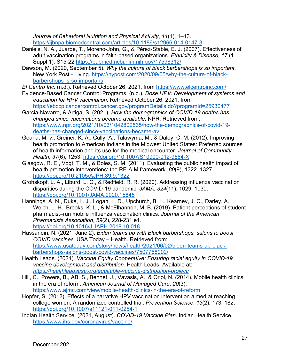*Journal of Behavioral Nutrition and Physical Activity*, *11*(1), 1–13. <https://ijbnpa.biomedcentral.com/articles/10.1186/s12966-014-0147-3>

- Daniels, N. A., Juarbe, T., Moreno-John, G., & Pérez-Stable, E. J. (2007). Effectiveness of adult vaccination programs in faith-based organizations. *Ethnicity & Disease, 17* (1 Suppl 1): S15-22<https://pubmed.ncbi.nlm.nih.gov/17598312/>
- Dawson, M. (2020, September 5). *Why the culture of black barbershops is so important*. New York Post - Living. [https://nypost.com/2020/09/05/why-the-culture-of-black](https://nypost.com/2020/09/05/why-the-culture-of-black-barbershops-is-so-important/)[barbershops-is-so-important/](https://nypost.com/2020/09/05/why-the-culture-of-black-barbershops-is-so-important/)
- *El Centro Inc.* (n.d.). Retrieved October 26, 2021, from<https://www.elcentroinc.com/>
- Evidence-Based Cancer Control Programs. (n.d.). *Dose HPV: Development of systems and education for HPV vaccination.* Retrieved October 26, 2021, from <https://ebccp.cancercontrol.cancer.gov/programDetails.do?programId=25930477>
- Garcia-Navarro, & Artiga, S. (2021). *How the demographics of COVID-19 deaths has changed since vaccinations became available*. NPR. Retrieved from: [https://www.npr.org/2021/10/03/1042802535/how-the-demographics-of-covid-19](https://www.npr.org/2021/10/03/1042802535/how-the-demographics-of-covid-19-deaths-has-changed-since-vaccinations-became-av) [deaths-has-changed-since-vaccinations-became-av](https://www.npr.org/2021/10/03/1042802535/how-the-demographics-of-covid-19-deaths-has-changed-since-vaccinations-became-av)
- Geana, M. v., Greiner, K. A., Cully, A., Talawyma, M., & Daley, C. M. (2012). Improving health promotion to American Indians in the Midwest United States: Preferred sources of health information and its use for the medical encounter. *Journal of Community Health*, *37*(6), 1253.<https://doi.org/10.1007/S10900-012-9564-X>
- Glasgow, R. E., Vogt, T. M., & Boles, S. M. (2011). Evaluating the public health impact of health promotion interventions: the RE-AIM framework. *89*(9), 1322–1327. <https://doi.org/10.2105/AJPH.89.9.1322>
- Grohskopf, L. A., Liburd, L. C., & Redfield, R. R. (2020). Addressing influenza vaccination disparities during the COVID-19 pandemic. *JAMA*, *324*(11), 1029–1030. <https://doi.org/10.1001/JAMA.2020.15845>
- Hannings, A. N., Duke, L. J., Logan, L. D., Upchurch, B. L., Kearney, J. C., Darley, A., Welch, L. H., Brooks, K. L., & McElhannon, M. B. (2019). Patient perceptions of student pharmacist–run mobile influenza vaccination clinics. *Journal of the American Pharmacists Association*, *59*(2), 228-231.e1. <https://doi.org/10.1016/J.JAPH.2018.10.018>
- Hassanein, N. (2021, June 2). *Biden teams up with Black barbershops, salons to boost COVID vaccines*. USA Today – Health. Retrieved from: [https://www.usatoday.com/story/news/health/2021/06/02/biden-teams-up-black](https://www.usatoday.com/story/news/health/2021/06/02/biden-teams-up-black-barbershops-salons-boost-covid-vaccines/7507768002/)[barbershops-salons-boost-covid-vaccines/7507768002/](https://www.usatoday.com/story/news/health/2021/06/02/biden-teams-up-black-barbershops-salons-boost-covid-vaccines/7507768002/)
- Health Leads. (2021). *Vaccine Equity Cooperative: Ensuring racial equity in COVID-19 vaccine development and distribution.* Health Leads. Available at: *<https://healthleadsusa.org/equitable-vaccine-distribution-project/>*
- Hill, C., Powers, B., AB, S., Bennet, J., Vavasis, A., & Oriol, N. (2014). Mobile health clinics in the era of reform. *American Journal of Managed Care*, *20*(3). <https://www.ajmc.com/view/mobile-health-clinics-in-the-era-of-reform>
- Hopfer, S. (2012). Effects of a narrative HPV vaccination intervention aimed at reaching college women: A randomized controlled trial. *Prevention Science*, *13*(2), 173–182. <https://doi.org/10.1007/s11121-011-0254-1>
- Indian Health Service. (2021, August). *COVID-19 Vaccine Plan*. Indian Health Service. <https://www.ihs.gov/coronavirus/vaccine/>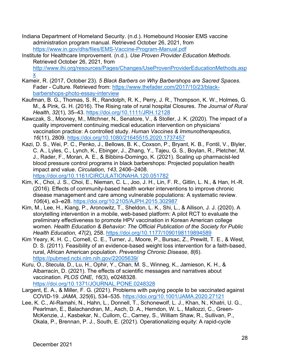- Indiana Department of Homeland Security. (n.d.). Homebound Hoosier EMS vaccine administration program manual. Retrieved October 26, 2021, from <https://www.in.gov/dhs/files/EMS-Vaccine-Program-Manual.pdf>
- Institute for Healthcare Improvement. (n.d.). *Use Proven Provider Education Methods*. Retrieved October 26, 2021, from [http://www.ihi.org/resources/Pages/Changes/UseProvenProviderEducationMethods.asp](http://www.ihi.org/resources/Pages/Changes/UseProvenProviderEducationMethods.aspx) [x](http://www.ihi.org/resources/Pages/Changes/UseProvenProviderEducationMethods.aspx)
- Kameir, R. (2017, October 23). *5 Black Barbers on Why Barbershops are Sacred Spaces.*  Fader - Culture. Retrieved from: [https://www.thefader.com/2017/10/23/black](https://www.thefader.com/2017/10/23/black-barbershops-photo-essay-interview)[barbershops-photo-essay-interview](https://www.thefader.com/2017/10/23/black-barbershops-photo-essay-interview)
- Kaufman, B. G., Thomas, S. R., Randolph, R. K., Perry, J. R., Thompson, K. W., Holmes, G. M., & Pink, G. H. (2016). The Rising rate of rural hospital Closures. *The Journal of Rural Health*, *32*(1), 35–43.<https://doi.org/10.1111/JRH.12128>
- Kawczak, S., Mooney, M., Mitchner, N., Senatore, V., & Stoller, J. K. (2020). The impact of a quality improvement continuing medical education intervention on physicians' vaccination practice: A controlled study. *Human Vaccines & Immunotherapeutics*, *16*(11), 2809.<https://doi.org/10.1080/21645515.2020.1737457>
- Kazi, D. S., Wei, P. C., Penko, J., Bellows, B. K., Coxson, P., Bryant, K. B., Fontil, V., Blyler, C. A., Lyles, C., Lynch, K., Ebinger, J., Zhang, Y., Tajeu, G. S., Boylan, R., Pletcher, M. J., Rader, F., Moran, A. E., & Bibbins-Domingo, K. (2021). Scaling up pharmacist-led blood pressure control programs in black barbershops: Projected population health impact and value. *Circulation*, *143*, 2406–2408. <https://doi.org/10.1161/CIRCULATIONAHA.120.051782>
- Kim, K., Choi, J. S., Choi, E., Nieman, C. L., Joo, J. H., Lin, F. R., Gitlin, L. N., & Han, H.-R. (2016). Effects of community-based health worker interventions to improve chronic disease management and care among vulnerable populations: A systematic review. *106*(4), e3–e28.<https://doi.org/10.2105/AJPH.2015.302987>
- Kim, M., Lee, H., Kiang, P., Aronowitz, T., Sheldon, L. K., Shi, L., & Allison, J. J. (2020). A storytelling intervention in a mobile, web-based platform: A pilot RCT to evaluate the preliminary effectiveness to promote HPV vaccination in Korean American college women. *Health Education & Behavior: The Official Publication of the Society for Public Health Education*, *47*(2), 258.<https://doi.org/10.1177/1090198119894589>
- Kim Yeary, K. H. C., Cornell, C. E., Turner, J., Moore, P., Bursac, Z., Prewitt, T. E., & West, D. S. (2011). Feasibility of an evidence-based weight loss intervention for a faith-based, rural, African American population. *Preventing Chronic Disease*, *8*(6). <https://pubmed.ncbi.nlm.nih.gov/22005639/>
- Kuru, O., Stecula, D., Lu, H., Ophir, Y., Chan, M. S., Winneg, K., Jamieson, K. H., & Albarracín, D. (2021). The effects of scientific messages and narratives about vaccination. *PLOS ONE*, *16*(3), e0248328. <https://doi.org/10.1371/JOURNAL.PONE.0248328>
- Largent, E. A., & Miller, F. G. (2021). Problems with paying people to be vaccinated against COVID-19. *JAMA*, *325*(6), 534–535.<https://doi.org/10.1001/JAMA.2020.27121>
- Lee, K. C., Al-Ramahi, N., Hahn, L., Donnell, T., Schonewolf, L. J., Khan, N., Khatri, U. G., Pearlman, E., Balachandran, M., Asch, D. A., Herndon, W. L., Mallozzi, C., Green-McKenzie, J., Kasbekar, N., Cullom, C., Carney, S., William Shaw, R., Sullivan, P., Okala, P., Brennan, P. J., South, E. (2021). Operationalizing equity: A rapid-cycle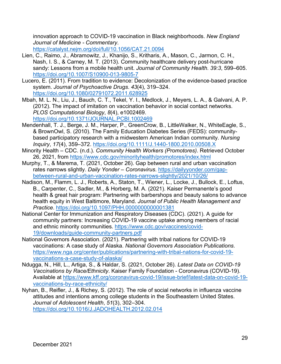innovation approach to COVID-19 vaccination in Black neighborhoods. *New England Journal of Medicine - Commentary*.

<https://catalyst.nejm.org/doi/full/10.1056/CAT.21.0094>

- Lien, C., Raimo, J., Abramowitz, J., Khanijo, S., Kritharis, A., Mason, C., Jarmon, C. H., Nash, I. S., & Carney, M. T. (2013). Community healthcare delivery post-hurricane sandy: Lessons from a mobile health unit. *Journal of Community Health. 39:3*, 599–605. <https://doi.org/10.1007/S10900-013-9805-7>
- Lucero, E. (2011). From tradition to evidence: Decolonization of the evidence-based practice system. *Journal of Psychoactive Drugs*. *43*(4), 319–324. <https://doi.org/10.1080/02791072.2011.628925>
- Mbah, M. L. N., Liu, J., Bauch, C. T., Tekel, Y. I., Medlock, J., Meyers, L. A., & Galvani, A. P. (2012). The impact of imitation on vaccination behavior in social contact networks. *PLOS Computational Biology*, *8*(4), e1002469. <https://doi.org/10.1371/JOURNAL.PCBI.1002469>
- Mendenhall, T. J., Berge, J. M., Harper, P., GreenCrow, B., LittleWalker, N., WhiteEagle, S., & BrownOwl, S. (2010). The Family Education Diabetes Series (FEDS): communitybased participatory research with a midwestern American Indian community. *Nursing Inquiry*, *17*(4), 359–372.<https://doi.org/10.1111/J.1440-1800.2010.00508.X>
- Minority Health CDC. (n.d.). *Community Health Workers (Promotores)*. Retrieved October 26, 2021, from<https://www.cdc.gov/minorityhealth/promotores/index.html>
- Murphy, T., & Marema, T. (2021, October 26). Gap between rural and urban vaccination rates narrows slightly. *Daily Yonder – Coronavirus*. [https://dailyyonder.com/gap](https://dailyyonder.com/gap-between-rural-and-urban-vaccination-rates-narrows-slightly/2021/10/26/)[between-rural-and-urban-vaccination-rates-narrows-slightly/2021/10/26/](https://dailyyonder.com/gap-between-rural-and-urban-vaccination-rates-narrows-slightly/2021/10/26/)
- Nadison, M., Flamm, L. J., Roberts, A., Staton, T., Wiener, L., Locke, J., Bullock, E., Loftus, B., Carpenter, C., Sadler, M., & Horberg, M. A. (2021). Kaiser Permanente's good health & great hair program: Partnering with barbershops and beauty salons to advance health equity in West Baltimore, Maryland. *Journal of Public Health Management and Practice*.<https://doi.org/10.1097/PHH.0000000000001381>
- National Center for Immunization and Respiratory Diseases (CDC). (2021). A guide for community partners: Increasing COVID-19 vaccine uptake among members of racial and ethnic minority communities. [https://www.cdc.gov/vaccines/covid-](https://www.cdc.gov/vaccines/covid-19/downloads/guide-community-partners.pdf)[19/downloads/guide-community-partners.pdf](https://www.cdc.gov/vaccines/covid-19/downloads/guide-community-partners.pdf)
- National Governors Association. (2021). Partnering with tribal nations for COVID-19 vaccinations: A case study of Alaska. *National Governors Association Publications*. [https://www.nga.org/center/publications/partnering-with-tribal-nations-for-covid-19](https://www.nga.org/center/publications/partnering-with-tribal-nations-for-covid-19-vaccinations-a-case-study-of-alaska/) [vaccinations-a-case-study-of-alaska/](https://www.nga.org/center/publications/partnering-with-tribal-nations-for-covid-19-vaccinations-a-case-study-of-alaska/)
- Ndugga, N., Hill, L., Artiga, S., & Haldar, S. (2021, October 26). *Latest Data on COVID-19 Vaccinations by Race/Ethnicity*. Kaiser Family Foundation - Coronavirus (COVID-19). Available at [https://www.kff.org/coronavirus-covid-19/issue-brief/latest-data-on-covid-19](https://www.kff.org/coronavirus-covid-19/issue-brief/latest-data-on-covid-19-vaccinations-by-race-ethnicity/) [vaccinations-by-race-ethnicity/](https://www.kff.org/coronavirus-covid-19/issue-brief/latest-data-on-covid-19-vaccinations-by-race-ethnicity/)
- Nyhan, B., Reifler, J., & Richey, S. (2012). The role of social networks in influenza vaccine attitudes and intentions among college students in the Southeastern United States. *Journal of Adolescent Health*, *51*(3), 302–304. <https://doi.org/10.1016/J.JADOHEALTH.2012.02.014>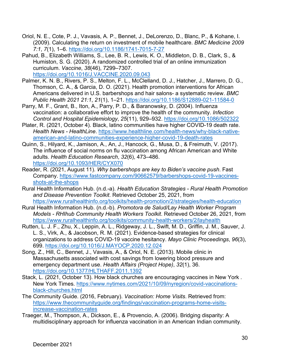- Oriol, N. E., Cote, P. J., Vavasis, A. P., Bennet, J., DeLorenzo, D., Blanc, P., & Kohane, I. (2009). Calculating the return on investment of mobile healthcare. *BMC Medicine 2009 7:1*, *7*(1), 1–6.<https://doi.org/10.1186/1741-7015-7-27>
- Pahud, B., Elizabeth Williams, S., Lee, B. R., Lewis, K. O., Middleton, D. B., Clark, S., & Humiston, S. G. (2020). A randomized controlled trial of an online immunization curriculum. *Vaccine*, *38*(46), 7299–7307. <https://doi.org/10.1016/J.VACCINE.2020.09.043>
- Palmer, K. N. B., Rivers, P. S., Melton, F. L., McClelland, D. J., Hatcher, J., Marrero, D. G., Thomson, C. A., & Garcia, D. O. (2021). Health promotion interventions for African Americans delivered in U.S. barbershops and hair salons- a systematic review. *BMC Public Health 2021 21:1*, *21*(1), 1–21.<https://doi.org/10.1186/S12889-021-11584-0>
- Parry, M. F., Grant, B., Iton, A., Parry, P. D., & Baranowsky, D. (2004). Influenza vaccination: a collaborative effort to improve the health of the community. *Infection Control and Hospital Epidemiology*, *25*(11), 929–932.<https://doi.org/10.1086/502322>
- Plater, R. (2021, October 4). Black, latino communities have higher COVID-19 death rate. *Health News - HealthLine*. [https://www.healthline.com/health-news/why-black-native](https://www.healthline.com/health-news/why-black-native-american-and-latino-communities-experience-higher-covid-19-death-rates)[american-and-latino-communities-experience-higher-covid-19-death-rates](https://www.healthline.com/health-news/why-black-native-american-and-latino-communities-experience-higher-covid-19-death-rates)
- Quinn, S., Hilyard, K., Jamison, A., An, J., Hancock, G., Musa, D., & Freimuth, V. (2017). The influence of social norms on flu vaccination among African American and White adults. *Health Education Research*, *32*(6), 473–486. <https://doi.org/10.1093/HER/CYX070>
- Reader, R. (2021, August 11). *Why barbershops are key to Biden's vaccine push*. Fast Company. [https://www.fastcompany.com/90662579/barbershops-covid-19-vaccines](https://www.fastcompany.com/90662579/barbershops-covid-19-vaccines-shots-at-the-shops)[shots-at-the-shops](https://www.fastcompany.com/90662579/barbershops-covid-19-vaccines-shots-at-the-shops)
- Rural Health Information Hub. (n.d.-a). *Health Education Strategies - Rural Health Promotion and Disease Prevention Toolkit*. Retrieved October 25, 2021, from <https://www.ruralhealthinfo.org/toolkits/health-promotion/2/strategies/health-education>
- Rural Health Information Hub. (n.d.-b). *Promotora de Salud/Lay Health Worker Program Models - RHIhub Community Health Workers Toolkit*. Retrieved October 26, 2021, from <https://www.ruralhealthinfo.org/toolkits/community-health-workers/2/layhealth>
- Rutten, L. J. F., Zhu, X., Leppin, A. L., Ridgeway, J. L., Swift, M. D., Griffin, J. M., Sauver, J. L. S., Virk, A., & Jacobson, R. M. (2021). Evidence-based strategies for clinical organizations to address COVID-19 vaccine hesitancy. *Mayo Clinic Proceedings*, *96*(3), 699.<https://doi.org/10.1016/J.MAYOCP.2020.12.024>
- Song, Z., Hill, C., Bennet, J., Vavasis, A., & Oriol, N. E. (2013). Mobile clinic in Massachusetts associated with cost savings from lowering blood pressure and emergency department use. *Health Affairs (Project Hope)*, *32*(1), 36. <https://doi.org/10.1377/HLTHAFF.2011.1392>
- Stack, L. (2021, October 13). How black churches are encouraging vaccines in New York *.*  New York Times. [https://www.nytimes.com/2021/10/09/nyregion/covid-vaccinations](https://www.nytimes.com/2021/10/09/nyregion/covid-vaccinations-black-churches.html)[black-churches.html](https://www.nytimes.com/2021/10/09/nyregion/covid-vaccinations-black-churches.html)
- The Community Guide. (2016, February). *Vaccination: Home Visits*. Retrieved from: [https://www.thecommunityguide.org/findings/vaccination-programs-home-visits](https://www.thecommunityguide.org/findings/vaccination-programs-home-visits-increase-vaccination-rates)[increase-vaccination-rates](https://www.thecommunityguide.org/findings/vaccination-programs-home-visits-increase-vaccination-rates)
- Traeger, M., Thompson, A., Dickson, E., & Provencio, A. (2006). Bridging disparity: A multidisciplinary approach for influenza vaccination in an American Indian community.